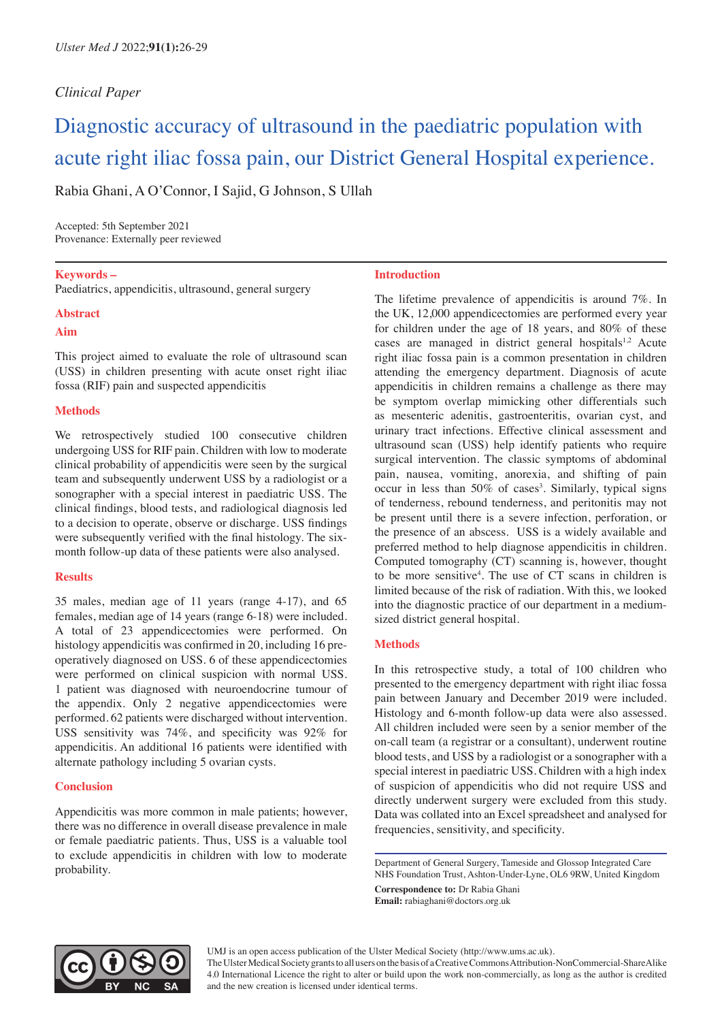# *Clinical Paper*

# Diagnostic accuracy of ultrasound in the paediatric population with acute right iliac fossa pain, our District General Hospital experience.

Rabia Ghani, A O'Connor, I Sajid, G Johnson, S Ullah

Accepted: 5th September 2021 Provenance: Externally peer reviewed

**Keywords –**

Paediatrics, appendicitis, ultrasound, general surgery

#### **Abstract**

## **Aim**

This project aimed to evaluate the role of ultrasound scan (USS) in children presenting with acute onset right iliac fossa (RIF) pain and suspected appendicitis

# **Methods**

We retrospectively studied 100 consecutive children undergoing USS for RIF pain. Children with low to moderate clinical probability of appendicitis were seen by the surgical team and subsequently underwent USS by a radiologist or a sonographer with a special interest in paediatric USS. The clinical findings, blood tests, and radiological diagnosis led to a decision to operate, observe or discharge. USS findings were subsequently verified with the final histology. The sixmonth follow-up data of these patients were also analysed.

# **Results**

35 males, median age of 11 years (range 4-17), and 65 females, median age of 14 years (range 6-18) were included. A total of 23 appendicectomies were performed. On histology appendicitis was confirmed in 20, including 16 preoperatively diagnosed on USS. 6 of these appendicectomies were performed on clinical suspicion with normal USS. 1 patient was diagnosed with neuroendocrine tumour of the appendix. Only 2 negative appendicectomies were performed. 62 patients were discharged without intervention. USS sensitivity was 74%, and specificity was 92% for appendicitis. An additional 16 patients were identified with alternate pathology including 5 ovarian cysts.

# **Conclusion**

Appendicitis was more common in male patients; however, there was no difference in overall disease prevalence in male or female paediatric patients. Thus, USS is a valuable tool to exclude appendicitis in children with low to moderate probability.

#### **Introduction**

The lifetime prevalence of appendicitis is around 7%. In the UK, 12,000 appendicectomies are performed every year for children under the age of 18 years, and 80% of these cases are managed in district general hospitals $1,2$  Acute right iliac fossa pain is a common presentation in children attending the emergency department. Diagnosis of acute appendicitis in children remains a challenge as there may be symptom overlap mimicking other differentials such as mesenteric adenitis, gastroenteritis, ovarian cyst, and urinary tract infections. Effective clinical assessment and ultrasound scan (USS) help identify patients who require surgical intervention. The classic symptoms of abdominal pain, nausea, vomiting, anorexia, and shifting of pain occur in less than 50% of cases<sup>3</sup>. Similarly, typical signs of tenderness, rebound tenderness, and peritonitis may not be present until there is a severe infection, perforation, or the presence of an abscess. USS is a widely available and preferred method to help diagnose appendicitis in children. Computed tomography (CT) scanning is, however, thought to be more sensitive4 . The use of CT scans in children is limited because of the risk of radiation. With this, we looked into the diagnostic practice of our department in a mediumsized district general hospital.

#### **Methods**

In this retrospective study, a total of 100 children who presented to the emergency department with right iliac fossa pain between January and December 2019 were included. Histology and 6-month follow-up data were also assessed. All children included were seen by a senior member of the on-call team (a registrar or a consultant), underwent routine blood tests, and USS by a radiologist or a sonographer with a special interest in paediatric USS. Children with a high index of suspicion of appendicitis who did not require USS and directly underwent surgery were excluded from this study. Data was collated into an Excel spreadsheet and analysed for frequencies, sensitivity, and specificity.

Department of General Surgery, Tameside and Glossop Integrated Care NHS Foundation Trust, Ashton-Under-Lyne, OL6 9RW, United Kingdom

**Correspondence to:** Dr Rabia Ghani **Email:** rabiaghani@doctors.org.uk



UMJ is an open access publication of the Ulster Medical Society (http://www.ums.ac.uk).

The Ulster Medical Society grants to all users on the basis of a Creative Commons Attribution-NonCommercial-ShareAlike 4.0 International Licence the right to alter or build upon the work non-commercially, as long as the author is credited and the new creation is licensed under identical terms.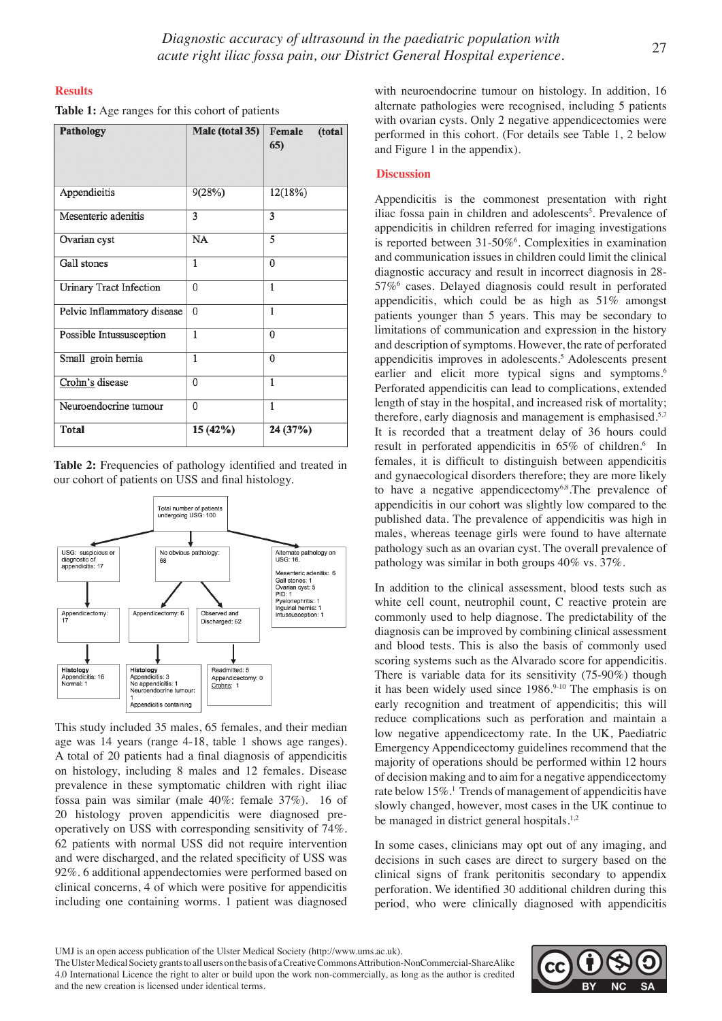#### **Results**

| <b>Table 1:</b> Age ranges for this cohort of patients |  |  |  |
|--------------------------------------------------------|--|--|--|
|--------------------------------------------------------|--|--|--|

| <b>Pathology</b>               | Male (total 35) | Female<br>(total<br>65) |
|--------------------------------|-----------------|-------------------------|
| Appendicitis                   | 9(28%)          | 12(18%)                 |
| Mesenteric adenitis            | 3               | 3                       |
| Ovarian cyst                   | NA              | 5                       |
| Gall stones                    | 1               | $\theta$                |
| <b>Urinary Tract Infection</b> | $\mathbf{0}$    | 1                       |
| Pelvic Inflammatory disease    | $\bf{0}$        | 1                       |
| Possible Intussusception       | 1               | $\theta$                |
| Small groin hernia             | 1               | $\mathbf{0}$            |
| Crohn's disease                | $\mathbf{0}$    | 1                       |
| Neuroendocrine tumour          | 0               | 1                       |
| <b>Total</b>                   | 15 (42%)        | 24 (37%)                |

**Table 2:** Frequencies of pathology identified and treated in our cohort of patients on USS and final histology.



This study included 35 males, 65 females, and their median age was 14 years (range 4-18, table 1 shows age ranges). A total of 20 patients had a final diagnosis of appendicitis on histology, including 8 males and 12 females. Disease prevalence in these symptomatic children with right iliac fossa pain was similar (male 40%: female 37%). 16 of 20 histology proven appendicitis were diagnosed preoperatively on USS with corresponding sensitivity of 74%. 62 patients with normal USS did not require intervention and were discharged, and the related specificity of USS was 92%. 6 additional appendectomies were performed based on clinical concerns, 4 of which were positive for appendicitis including one containing worms. 1 patient was diagnosed

with neuroendocrine tumour on histology. In addition, 16 alternate pathologies were recognised, including 5 patients with ovarian cysts. Only 2 negative appendicectomies were performed in this cohort. (For details see Table 1, 2 below and Figure 1 in the appendix).

#### **Discussion**

Appendicitis is the commonest presentation with right iliac fossa pain in children and adolescents<sup>5</sup>. Prevalence of appendicitis in children referred for imaging investigations is reported between 31-50%<sup>6</sup>. Complexities in examination and communication issues in children could limit the clinical diagnostic accuracy and result in incorrect diagnosis in 28- 57%6 cases. Delayed diagnosis could result in perforated appendicitis, which could be as high as 51% amongst patients younger than 5 years. This may be secondary to limitations of communication and expression in the history and description of symptoms. However, the rate of perforated appendicitis improves in adolescents.<sup>5</sup> Adolescents present earlier and elicit more typical signs and symptoms.<sup>6</sup> Perforated appendicitis can lead to complications, extended length of stay in the hospital, and increased risk of mortality; therefore, early diagnosis and management is emphasised.<sup>5,7</sup> It is recorded that a treatment delay of 36 hours could result in perforated appendicitis in 65% of children.<sup>6</sup> In females, it is difficult to distinguish between appendicitis and gynaecological disorders therefore; they are more likely to have a negative appendicectomy $6,8$ . The prevalence of appendicitis in our cohort was slightly low compared to the published data. The prevalence of appendicitis was high in males, whereas teenage girls were found to have alternate pathology such as an ovarian cyst. The overall prevalence of pathology was similar in both groups 40% vs. 37%.

In addition to the clinical assessment, blood tests such as white cell count, neutrophil count, C reactive protein are commonly used to help diagnose. The predictability of the diagnosis can be improved by combining clinical assessment and blood tests. This is also the basis of commonly used scoring systems such as the Alvarado score for appendicitis. There is variable data for its sensitivity (75-90%) though it has been widely used since 1986.9-10 The emphasis is on early recognition and treatment of appendicitis; this will reduce complications such as perforation and maintain a low negative appendicectomy rate. In the UK, Paediatric Emergency Appendicectomy guidelines recommend that the majority of operations should be performed within 12 hours of decision making and to aim for a negative appendicectomy rate below 15%.<sup>1</sup> Trends of management of appendicitis have slowly changed, however, most cases in the UK continue to be managed in district general hospitals.<sup>1,2</sup>

In some cases, clinicians may opt out of any imaging, and decisions in such cases are direct to surgery based on the clinical signs of frank peritonitis secondary to appendix perforation. We identified 30 additional children during this period, who were clinically diagnosed with appendicitis

The Ulster Medical Society grants to all users on the basis of a Creative Commons Attribution-NonCommercial-ShareAlike 4.0 International Licence the right to alter or build upon the work non-commercially, as long as the author is credited and the new creation is licensed under identical terms.



UMJ is an open access publication of the Ulster Medical Society (http://www.ums.ac.uk).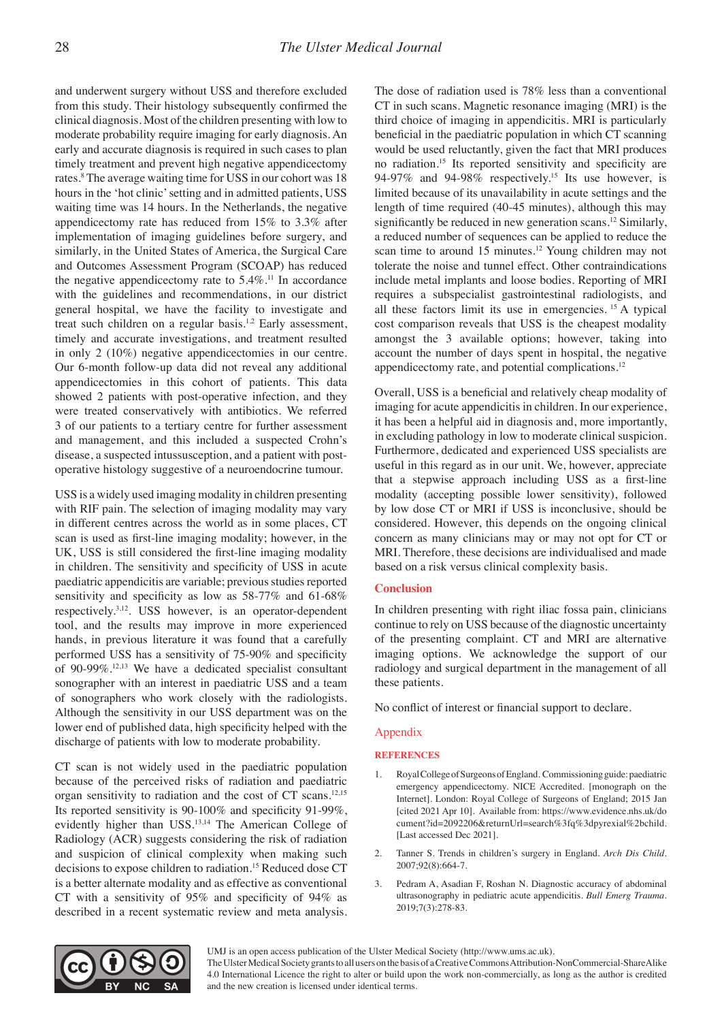and underwent surgery without USS and therefore excluded from this study. Their histology subsequently confirmed the clinical diagnosis. Most of the children presenting with low to moderate probability require imaging for early diagnosis. An early and accurate diagnosis is required in such cases to plan timely treatment and prevent high negative appendicectomy rates.<sup>8</sup> The average waiting time for USS in our cohort was 18 hours in the 'hot clinic' setting and in admitted patients, USS waiting time was 14 hours. In the Netherlands, the negative appendicectomy rate has reduced from 15% to 3.3% after implementation of imaging guidelines before surgery, and similarly, in the United States of America, the Surgical Care and Outcomes Assessment Program (SCOAP) has reduced the negative appendicectomy rate to  $5.4\%$ .<sup>11</sup> In accordance with the guidelines and recommendations, in our district general hospital, we have the facility to investigate and treat such children on a regular basis.<sup>1,2</sup> Early assessment, timely and accurate investigations, and treatment resulted in only 2 (10%) negative appendicectomies in our centre. Our 6-month follow-up data did not reveal any additional appendicectomies in this cohort of patients. This data showed 2 patients with post-operative infection, and they were treated conservatively with antibiotics. We referred 3 of our patients to a tertiary centre for further assessment and management, and this included a suspected Crohn's disease, a suspected intussusception, and a patient with postoperative histology suggestive of a neuroendocrine tumour.

USS is a widely used imaging modality in children presenting with RIF pain. The selection of imaging modality may vary in different centres across the world as in some places, CT scan is used as first-line imaging modality; however, in the UK, USS is still considered the first-line imaging modality in children. The sensitivity and specificity of USS in acute paediatric appendicitis are variable; previous studies reported sensitivity and specificity as low as 58-77% and 61-68% respectively.3,12. USS however, is an operator-dependent tool, and the results may improve in more experienced hands, in previous literature it was found that a carefully performed USS has a sensitivity of 75-90% and specificity of 90-99%.12,13 We have a dedicated specialist consultant sonographer with an interest in paediatric USS and a team of sonographers who work closely with the radiologists. Although the sensitivity in our USS department was on the lower end of published data, high specificity helped with the discharge of patients with low to moderate probability.

CT scan is not widely used in the paediatric population because of the perceived risks of radiation and paediatric organ sensitivity to radiation and the cost of CT scans.12,15 Its reported sensitivity is 90-100% and specificity 91-99%, evidently higher than USS.<sup>13,14</sup> The American College of Radiology (ACR) suggests considering the risk of radiation and suspicion of clinical complexity when making such decisions to expose children to radiation.15 Reduced dose CT is a better alternate modality and as effective as conventional CT with a sensitivity of 95% and specificity of 94% as described in a recent systematic review and meta analysis.

The dose of radiation used is 78% less than a conventional CT in such scans. Magnetic resonance imaging (MRI) is the third choice of imaging in appendicitis. MRI is particularly beneficial in the paediatric population in which CT scanning would be used reluctantly, given the fact that MRI produces no radiation.15 Its reported sensitivity and specificity are 94-97% and 94-98% respectively.15 Its use however, is limited because of its unavailability in acute settings and the length of time required (40-45 minutes), although this may significantly be reduced in new generation scans.<sup>12</sup> Similarly, a reduced number of sequences can be applied to reduce the scan time to around 15 minutes.<sup>12</sup> Young children may not tolerate the noise and tunnel effect. Other contraindications include metal implants and loose bodies. Reporting of MRI requires a subspecialist gastrointestinal radiologists, and all these factors limit its use in emergencies. 15 A typical cost comparison reveals that USS is the cheapest modality amongst the 3 available options; however, taking into account the number of days spent in hospital, the negative appendicectomy rate, and potential complications.12

Overall, USS is a beneficial and relatively cheap modality of imaging for acute appendicitis in children. In our experience, it has been a helpful aid in diagnosis and, more importantly, in excluding pathology in low to moderate clinical suspicion. Furthermore, dedicated and experienced USS specialists are useful in this regard as in our unit. We, however, appreciate that a stepwise approach including USS as a first-line modality (accepting possible lower sensitivity), followed by low dose CT or MRI if USS is inconclusive, should be considered. However, this depends on the ongoing clinical concern as many clinicians may or may not opt for CT or MRI. Therefore, these decisions are individualised and made based on a risk versus clinical complexity basis.

## **Conclusion**

In children presenting with right iliac fossa pain, clinicians continue to rely on USS because of the diagnostic uncertainty of the presenting complaint. CT and MRI are alternative imaging options. We acknowledge the support of our radiology and surgical department in the management of all these patients.

No conflict of interest or financial support to declare.

#### Appendix

#### **REFERENCES**

- 1. Royal College of Surgeons of England. Commissioning guide: paediatric emergency appendicectomy. NICE Accredited. [monograph on the Internet]. London: Royal College of Surgeons of England; 2015 Jan [cited 2021 Apr 10]. Available from: https://www.evidence.nhs.uk/do cument?id=2092206&returnUrl=search%3fq%3dpyrexial%2bchild. [Last accessed Dec 2021].
- 2. Tanner S. Trends in children's surgery in England. *Arch Dis Child.*  2007;92(8):664-7.
- 3. Pedram A, Asadian F, Roshan N. Diagnostic accuracy of abdominal ultrasonography in pediatric acute appendicitis. *Bull Emerg Trauma.* 2019;7(3):278-83.



UMJ is an open access publication of the Ulster Medical Society (http://www.ums.ac.uk).

The Ulster Medical Society grants to all users on the basis of a Creative Commons Attribution-NonCommercial-ShareAlike 4.0 International Licence the right to alter or build upon the work non-commercially, as long as the author is credited and the new creation is licensed under identical terms.